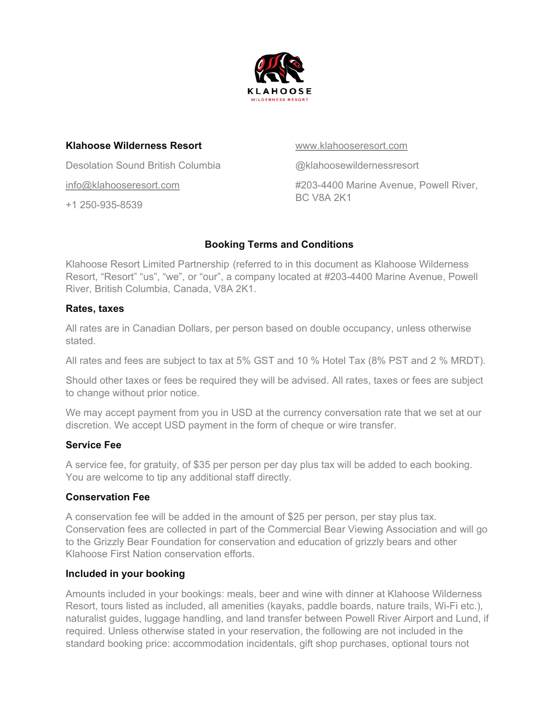

### **Klahoose Wilderness Resort**

Desolation Sound British Columbia

[info@klahooseresort.com](mailto:info@klahooseresort.com) 

+1 250-935-8539

#### [www.klahooseresort.com](http://www.klahooseresort.com/)

@klahoosewildernessresort #203-4400 Marine Avenue, Powell River, BC V8A 2K1

# **Booking Terms and Conditions**

Klahoose Resort Limited Partnership (referred to in this document as Klahoose Wilderness Resort, "Resort" "us", "we", or "our", a company located at #203-4400 Marine Avenue, Powell River, British Columbia, Canada, V8A 2K1.

## **Rates, taxes**

All rates are in Canadian Dollars, per person based on double occupancy, unless otherwise stated.

All rates and fees are subject to tax at 5% GST and 10 % Hotel Tax (8% PST and 2 % MRDT).

Should other taxes or fees be required they will be advised. All rates, taxes or fees are subject to change without prior notice.

We may accept payment from you in USD at the currency conversation rate that we set at our discretion. We accept USD payment in the form of cheque or wire transfer.

# **Service Fee**

A service fee, for gratuity, of \$35 per person per day plus tax will be added to each booking. You are welcome to tip any additional staff directly.

# **Conservation Fee**

A conservation fee will be added in the amount of \$25 per person, per stay plus tax. Conservation fees are collected in part of the Commercial Bear Viewing Association and will go to the Grizzly Bear Foundation for conservation and education of grizzly bears and other Klahoose First Nation conservation efforts.

# **Included in your booking**

Amounts included in your bookings: meals, beer and wine with dinner at Klahoose Wilderness Resort, tours listed as included, all amenities (kayaks, paddle boards, nature trails, Wi-Fi etc.), naturalist guides, luggage handling, and land transfer between Powell River Airport and Lund, if required. Unless otherwise stated in your reservation, the following are not included in the standard booking price: accommodation incidentals, gift shop purchases, optional tours not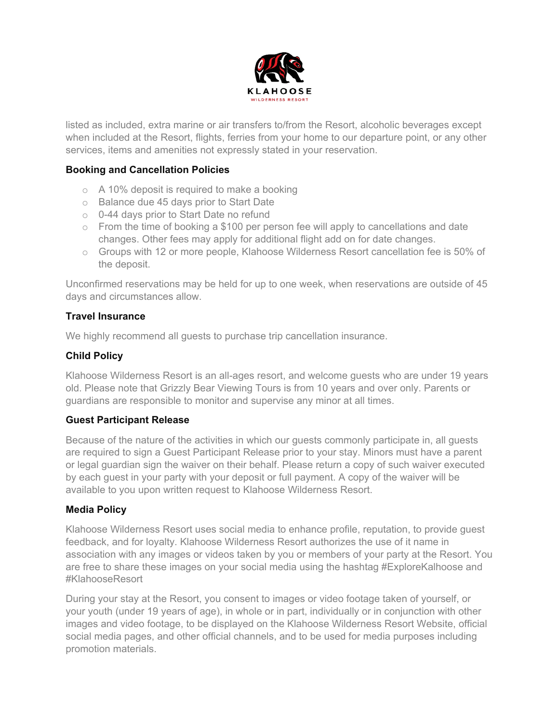

listed as included, extra marine or air transfers to/from the Resort, alcoholic beverages except when included at the Resort, flights, ferries from your home to our departure point, or any other services, items and amenities not expressly stated in your reservation.

### **Booking and Cancellation Policies**

- $\circ$  A 10% deposit is required to make a booking
- o Balance due 45 days prior to Start Date
- o 0-44 days prior to Start Date no refund
- $\circ$  From the time of booking a \$100 per person fee will apply to cancellations and date changes. Other fees may apply for additional flight add on for date changes.
- $\circ$  Groups with 12 or more people, Klahoose Wilderness Resort cancellation fee is 50% of the deposit.

Unconfirmed reservations may be held for up to one week, when reservations are outside of 45 days and circumstances allow.

### **Travel Insurance**

We highly recommend all guests to purchase trip cancellation insurance.

### **Child Policy**

Klahoose Wilderness Resort is an all-ages resort, and welcome guests who are under 19 years old. Please note that Grizzly Bear Viewing Tours is from 10 years and over only. Parents or guardians are responsible to monitor and supervise any minor at all times.

#### **Guest Participant Release**

Because of the nature of the activities in which our guests commonly participate in, all guests are required to sign a Guest Participant Release prior to your stay. Minors must have a parent or legal guardian sign the waiver on their behalf. Please return a copy of such waiver executed by each guest in your party with your deposit or full payment. A copy of the waiver will be available to you upon written request to Klahoose Wilderness Resort.

#### **Media Policy**

Klahoose Wilderness Resort uses social media to enhance profile, reputation, to provide guest feedback, and for loyalty. Klahoose Wilderness Resort authorizes the use of it name in association with any images or videos taken by you or members of your party at the Resort. You are free to share these images on your social media using the hashtag #ExploreKalhoose and #KlahooseResort

During your stay at the Resort, you consent to images or video footage taken of yourself, or your youth (under 19 years of age), in whole or in part, individually or in conjunction with other images and video footage, to be displayed on the Klahoose Wilderness Resort Website, official social media pages, and other official channels, and to be used for media purposes including promotion materials.